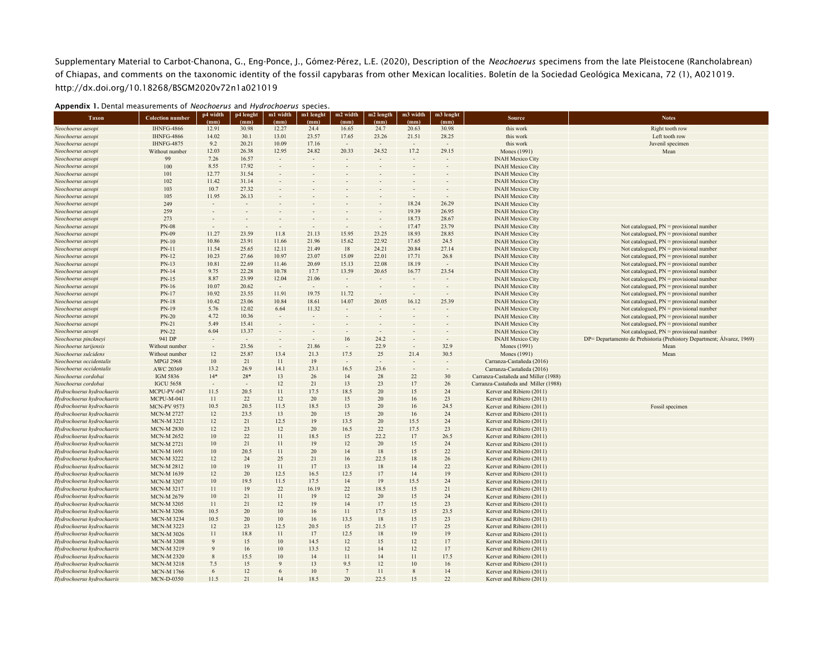Supplementary Material to Carbot-Chanona, G., Eng-Ponce, J., Gómez-Pérez, L.E. (2020), Description of the *Neochoerus* specimens from the late Pleistocene (Rancholabrean) of Chiapas, and comments on the taxonomic identity of the fossil capybaras from other Mexican localities. Boletín de la Sociedad Geológica Mexicana, 72 (1), A021019. http://dx.doi.org/10.18268/BSGM2020v72n1a021019

| <b>Taxon</b>              | <b>Colection number</b> | p4 width | p4 lenght                | m1 width                 | m1 lenght | m2 width        | m2 length | m3 width | m3 lenght |                                      | <b>Notes</b>                                                           |
|---------------------------|-------------------------|----------|--------------------------|--------------------------|-----------|-----------------|-----------|----------|-----------|--------------------------------------|------------------------------------------------------------------------|
|                           |                         | (mm)     | (mm)                     | (mm)                     | (mm)      | (mm)            | (mm)      | (mm)     | (mm)      | <b>Source</b>                        |                                                                        |
| Neochoerus aesopi         | <b>IHNFG-4866</b>       | 12.91    | 30.98                    | 12.27                    | 24.4      | 16.65           | 24.7      | 20.63    | 30.98     | this work                            | Right tooth row                                                        |
| Neochoerus aesopi         | <b>IHNFG-4866</b>       | 14.02    | 30.1                     | 13.01                    | 23.57     | 17.65           | 23.26     | 21.51    | 28.25     | this work                            | Left tooth row                                                         |
| Neochoerus aesopi         | IHNFG-4875              | 9.2      | 20.21                    | 10.09                    | 17.16     | $\sim$          | $\sim$    |          |           | this work                            | Juvenil specimen                                                       |
| Neochoerus aesopi         | Without number          | 12.03    | 26.38                    | 12.95                    | 24.82     | 20.33           | 24.52     | 17.2     | 29.15     | Mones (1991)                         | Mean                                                                   |
| Neochoerus aesopi         | 99                      | 7.26     | 16.57                    |                          |           |                 |           |          |           | <b>INAH Mexico City</b>              |                                                                        |
| Neochoerus aesopi         | 100                     | 8.55     | 17.92                    |                          |           |                 |           |          |           | <b>INAH Mexico City</b>              |                                                                        |
| Neochoerus aesopi         | 101                     | 12.77    | 31.54                    |                          |           |                 |           |          |           | <b>INAH Mexico City</b>              |                                                                        |
| Neochoerus aesopi         | 102                     | 11.42    | 31.14                    |                          |           |                 |           |          |           | <b>INAH Mexico City</b>              |                                                                        |
| Neochoerus aesopi         | 103                     | 10.7     | 27.32                    |                          |           |                 |           |          |           | <b>INAH Mexico City</b>              |                                                                        |
| Neochoerus aesopi         | 105                     | 11.95    | 26.13                    |                          |           |                 |           |          |           | <b>INAH Mexico City</b>              |                                                                        |
| Neochoerus aesopi         | 249                     |          |                          |                          |           |                 |           | 18.24    | 26.29     | <b>INAH Mexico City</b>              |                                                                        |
| Neochoerus aesopi         | 259                     |          |                          |                          |           |                 |           | 19.39    | 26.95     | <b>INAH Mexico City</b>              |                                                                        |
| Neochoerus aesopi         | 273                     |          |                          |                          |           |                 |           | 18.73    | 28.67     | <b>INAH Mexico City</b>              |                                                                        |
| Neochoerus aesopi         | <b>PN-08</b>            |          |                          |                          |           |                 |           | 17.47    | 23.79     | <b>INAH Mexico City</b>              | Not catalogued, $PN =$ provisional number                              |
| Neochoerus aesopi         | PN-09                   | 11.27    | 23.59                    | 11.8                     | 21.13     | 15.95           | 23.25     | 18.93    | 28.85     | <b>INAH Mexico City</b>              | Not catalogued, $PN =$ provisional number                              |
| Neochoerus aesopi         | $PN-10$                 | 10.86    | 23.91                    | 11.66                    | 21.96     | 15.62           | 22.92     | 17.65    | 24.5      | <b>INAH Mexico City</b>              | Not catalogued, $PN =$ provisional number                              |
| Neochoerus aesopi         | $PN-11$                 | 11.54    | 25.65                    | 12.11                    | 21.49     | 18              | 24.21     | 20.84    | 27.14     | <b>INAH Mexico City</b>              | Not catalogued, $PN =$ provisional number                              |
| Neochoerus aesopi         | PN-12                   | 10.23    | 27.66                    | 10.97                    | 23.07     | 15.09           | 22.01     | 17.71    | 26.8      | <b>INAH Mexico City</b>              | Not catalogued, $PN =$ provisional number                              |
| Neochoerus aesopi         | PN-13                   | 10.81    | 22.69                    | 11.46                    | 20.69     | 15.13           | 22.08     | 18.19    | $\sim$    | <b>INAH Mexico City</b>              | Not catalogued, $PN =$ provisional number                              |
|                           |                         |          | 22.28                    | 10.78                    |           | 13.59           | 20.65     |          |           |                                      |                                                                        |
| Neochoerus aesopi         | PN-14                   | 9.75     |                          |                          | 17.7      |                 |           | 16.77    | 23.54     | <b>INAH Mexico City</b>              | Not catalogued, $PN =$ provisional number                              |
| Neochoerus aesopi         | PN-15                   | 8.87     | 23.99                    | 12.04                    | 21.06     |                 |           |          |           | <b>INAH Mexico City</b>              | Not catalogued, $PN =$ provisional number                              |
| Neochoerus aesopi         | PN-16                   | 10.07    | 20.62                    | $\overline{\phantom{a}}$ |           |                 |           |          |           | <b>INAH Mexico City</b>              | Not catalogued, $PN =$ provisional number                              |
| Neochoerus aesopi         | PN-17                   | 10.92    | 23.55                    | 11.91                    | 19.75     | 11.72           |           |          |           | <b>INAH Mexico City</b>              | Not catalogued, $PN =$ provisional number                              |
| Neochoerus aesopi         | $PN-18$                 | 10.42    | 23.06                    | 10.84                    | 18.61     | 14.07           | 20.05     | 16.12    | 25.39     | <b>INAH Mexico City</b>              | Not catalogued, $PN =$ provisional number                              |
| Neochoerus aesopi         | PN-19                   | 5.76     | 12.02                    | 6.64                     | 11.32     |                 |           |          |           | <b>INAH Mexico City</b>              | Not catalogued, $PN =$ provisional number                              |
| Neochoerus aesopi         | <b>PN-20</b>            | 4.72     | 10.36                    |                          |           |                 |           |          |           | <b>INAH Mexico City</b>              | Not catalogued, $PN =$ provisional number                              |
| Neochoerus aesopi         | PN-21                   | 5.49     | 15.41                    |                          |           |                 |           |          |           | <b>INAH Mexico City</b>              | Not catalogued, $PN =$ provisional number                              |
| Neochoerus aesopi         | <b>PN-22</b>            | 6.04     | 13.37                    |                          |           |                 |           |          |           | <b>INAH Mexico City</b>              | Not catalogued, $PN =$ provisional number                              |
| Neochoerus pinckneyi      | 941 DP                  |          | $\overline{\phantom{a}}$ |                          |           | 16              | 24.2      |          |           | <b>INAH Mexico City</b>              | DP= Departamento de Prehistoria (Prehistory Department; Alvarez, 1969) |
| Neochoerus tarijensis     | Without number          |          | 23.56                    |                          | 21.86     |                 | 22.9      |          | 32.9      | Mones (1991)                         | Mean                                                                   |
| Neochoerus sulcidens      | Without number          | 12       | 25.87                    | 13.4                     | 21.3      | 17.5            | 25        | 21.4     | 30.5      | Mones (1991)                         | Mean                                                                   |
| Neochoerus occidentalis   | <b>MPGJ 2968</b>        | 10       | 21                       | 11                       | 19        |                 |           |          |           | Carranza-Castañeda (2016)            |                                                                        |
| Neochoerus occidentalis   | AWC 20369               | 13.2     | 26.9                     | 14.1                     | 23.1      | 16.5            | 23.6      |          |           | Carranza-Castañeda (2016)            |                                                                        |
| Neochoerus cordobai       | IGM 5836                | $14*$    | $28*$                    | 13                       | 26        | 14              | 28        | 22       | 30        | Carranza-Castañeda and Miller (1988) |                                                                        |
| Neochoerus cordobai       | <b>IGCU 5658</b>        |          | $\sim$                   | 12                       | 21        | 13              | 23        | 17       | 26        | Carranza-Castañeda and Miller (1988) |                                                                        |
| Hydrochoerus hydrochaeris | MCPU-PV-047             | 11.5     | 20.5                     | 11                       | 17.5      | 18.5            | 20        | 15       | 24        | Kerver and Ribiero (2011)            |                                                                        |
| Hydrochoerus hydrochaeris | MCPU-M-041              | 11       | 22                       | 12                       | 20        | 15              | 20        | 16       | 23        | Kerver and Ribiero (2011)            |                                                                        |
| Hydrochoerus hydrochaeris | <b>MCN-PV 9573</b>      | 10.5     | 20.5                     | 11.5                     | 18.5      | 13              | 20        | 16       | 24.5      | Kerver and Ribiero (2011)            | Fossil specimen                                                        |
| Hydrochoerus hydrochaeris | <b>MCN-M 2727</b>       | 12       | 23.5                     | 13                       | 20        | 15              | 20        | 16       | 24        | Kerver and Ribiero (2011)            |                                                                        |
| Hydrochoerus hydrochaeris | <b>MCN-M3221</b>        | 12       | 21                       | 12.5                     | 19        | 13.5            | 20        | 15.5     | 24        | Kerver and Ribiero (2011)            |                                                                        |
| Hydrochoerus hydrochaeris | <b>MCN-M 2830</b>       | 12       | 23                       | 12                       | 20        | 16.5            | 22        | 17.5     | 23        | Kerver and Ribiero (2011)            |                                                                        |
| Hydrochoerus hydrochaeris | <b>MCN-M 2652</b>       | 10       | 22                       | 11                       | 18.5      | 15              | 22.2      | 17       | 26.5      | Kerver and Ribiero (2011)            |                                                                        |
| Hydrochoerus hydrochaeris | <b>MCN-M 2721</b>       | 10       | 21                       | 11                       | 19        | 12              | 20        | 15       | 24        | Kerver and Ribiero (2011)            |                                                                        |
| Hydrochoerus hydrochaeris | <b>MCN-M 1691</b>       | 10       | 20.5                     | 11                       | 20        | 14              | 18        | 15       | 22        | Kerver and Ribiero (2011)            |                                                                        |
| Hydrochoerus hydrochaeris | <b>MCN-M 3222</b>       | 12       | 24                       | 25                       | 21        | 16              | 22.5      | 18       | 26        | Kerver and Ribiero (2011)            |                                                                        |
| Hydrochoerus hydrochaeris | <b>MCN-M 2812</b>       | 10       | 19                       | 11                       | 17        | 13              | 18        | 14       | 22        | Kerver and Ribiero (2011)            |                                                                        |
| Hydrochoerus hydrochaeris | <b>MCN-M 1639</b>       | 12       | 20                       | 12.5                     | 16.5      | 12.5            | 17        | 14       | 19        | Kerver and Ribiero (2011)            |                                                                        |
| Hydrochoerus hydrochaeris | <b>MCN-M 3207</b>       | 10       | 19.5                     | 11.5                     | 17.5      | 14              | 19        | 15.5     | 24        | Kerver and Ribiero (2011)            |                                                                        |
| Hydrochoerus hydrochaeris | <b>MCN-M 3217</b>       | 11       | 19                       | 22                       | 16.19     | 22              | 18.5      | 15       | 21        | Kerver and Ribiero (2011)            |                                                                        |
| Hydrochoerus hydrochaeris | <b>MCN-M 2679</b>       | 10       | 21                       | 11                       | 19        | 12              | 20        | 15       | 24        | Kerver and Ribiero (2011)            |                                                                        |
| Hydrochoerus hydrochaeris | <b>MCN-M 3205</b>       | 11       | 21                       | 12                       | 19        | 14              | 17        | 15       | 23        | Kerver and Ribiero (2011)            |                                                                        |
| Hydrochoerus hydrochaeris | <b>MCN-M 3206</b>       | 10.5     | 20                       | 10                       | 16        | 11              | 17.5      | 15       | 23.5      | Kerver and Ribiero (2011)            |                                                                        |
| Hydrochoerus hydrochaeris | <b>MCN-M 3234</b>       | 10.5     | 20                       | 10                       | 16        | 13.5            | 18        | 15       | 23        | Kerver and Ribiero (2011)            |                                                                        |
| Hydrochoerus hydrochaeris | MCN-M 3223              | 12       | 23                       | 12.5                     | 20.5      | 15              | 21.5      | 17       | 25        | Kerver and Ribiero (2011)            |                                                                        |
| Hydrochoerus hydrochaeris | <b>MCN-M 3026</b>       | 11       | 18.8                     | 11                       | 17        | 12.5            | 18        | 19       | 19        | Kerver and Ribiero (2011)            |                                                                        |
| Hydrochoerus hydrochaeris | <b>MCN-M 3208</b>       |          | 15                       | 10                       | 14.5      | 12              | 15        | 12       | 17        | Kerver and Ribiero (2011)            |                                                                        |
| Hydrochoerus hydrochaeris | <b>MCN-M 3219</b>       |          | 16                       | 10                       | 13.5      | 12              | 14        | 12       | 17        | Kerver and Ribiero (2011)            |                                                                        |
| Hydrochoerus hydrochaeris | <b>MCN-M2320</b>        | 8        | 15.5                     | 10                       | 14        | 11              | 14        | 11       | 17.5      | Kerver and Ribiero (2011)            |                                                                        |
| Hydrochoerus hydrochaeris | <b>MCN-M3218</b>        | 7.5      | 15                       | 9                        | 13        | 9.5             | 12        | 10       | 16        | Kerver and Ribiero (2011)            |                                                                        |
| Hydrochoerus hydrochaeris | <b>MCN-M1766</b>        | 6        | 12                       | 6                        | 10        | $7\phantom{.0}$ | 11        | 8        | 14        | Kerver and Ribiero (2011)            |                                                                        |
| Hydrochoerus hydrochaeris | <b>MCN-D-0350</b>       | 11.5     | 21                       | 14                       | 18.5      | 20              | 22.5      | 15       | 22        | Kerver and Ribiero (2011)            |                                                                        |
|                           |                         |          |                          |                          |           |                 |           |          |           |                                      |                                                                        |

## Appendix 1. Dental measurements of *Neochoerus* and *Hydrochoerus* species.